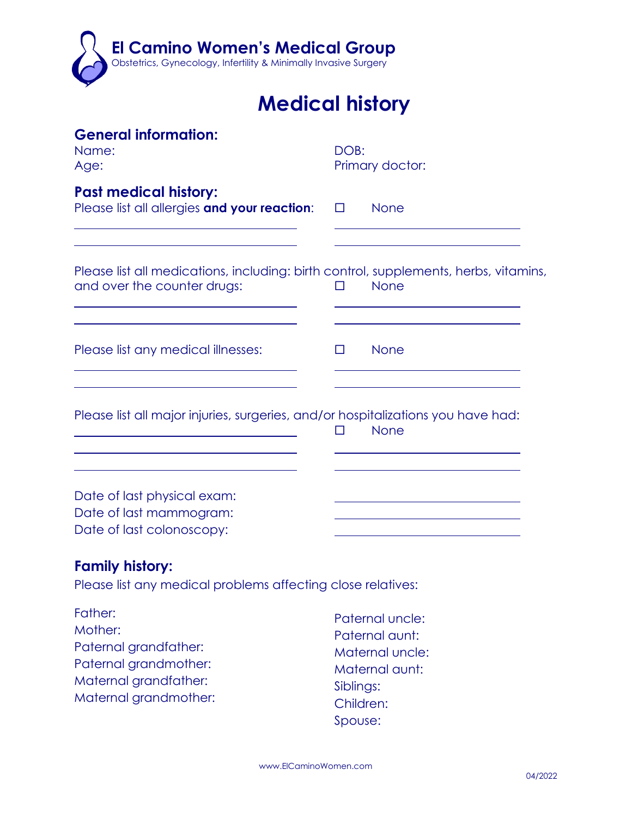

## **Medical history**

| <b>General information:</b><br>Name:<br>Age:                                                                        | DOB:<br>Primary doctor: |                                   |  |
|---------------------------------------------------------------------------------------------------------------------|-------------------------|-----------------------------------|--|
| <b>Past medical history:</b><br>Please list all allergies and your reaction:                                        | $\Box$                  | <b>None</b>                       |  |
| Please list all medications, including: birth control, supplements, herbs, vitamins,<br>and over the counter drugs: | П                       | <b>None</b>                       |  |
| Please list any medical illnesses:                                                                                  | $\Box$                  | None                              |  |
| Please list all major injuries, surgeries, and/or hospitalizations you have had:                                    | П                       | <b>None</b>                       |  |
| Date of last physical exam:<br>Date of last mammogram:<br>Date of last colonoscopy:                                 |                         |                                   |  |
| <b>Family history:</b><br>Please list any medical problems affecting close relatives:                               |                         |                                   |  |
| Father:<br>Mother:                                                                                                  |                         | Paternal uncle:<br>Paternal aunt: |  |

- Paternal grandfather: Paternal grandmother: Maternal grandfather: Maternal grandmother:
- 

Siblings: Children: Spouse:

Maternal uncle: Maternal aunt: